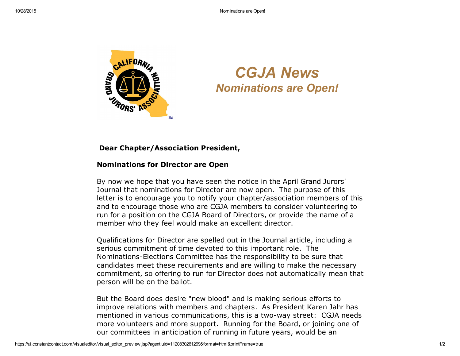

## *CGJA News Nominations are Open!*

## Dear Chapter/Association President,

## Nominations for Director are Open

By now we hope that you have seen the notice in the April Grand Jurors' Journal that nominations for Director are now open. The purpose of this letter is to encourage you to notify your chapter/association members of this and to encourage those who are CGJA members to consider volunteering to run for a position on the CGJA Board of Directors, or provide the name of a member who they feel would make an excellent director.

Qualifications for Director are spelled out in the Journal article, including a serious commitment of time devoted to this important role. The Nominations-Elections Committee has the responsibility to be sure that candidates meet these requirements and are willing to make the necessary commitment, so offering to run for Director does not automatically mean that person will be on the ballot.

But the Board does desire "new blood" and is making serious efforts to improve relations with members and chapters. As President Karen Jahr has mentioned in various communications, this is a two-way street: CGJA needs more volunteers and more support. Running for the Board, or joining one of our committees in anticipation of running in future years, would be an